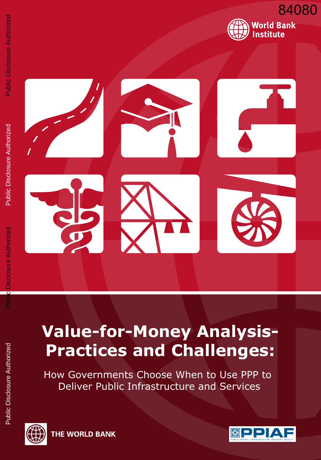



osure Authorized

# **Value-for-Money Analysis-Practices and Challenges:**

How Governments Choose When to Use PPP to Deliver Public Infrastructure and Services





THE WORLD BANK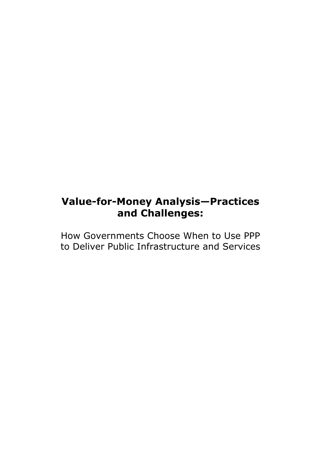## **Value-for-Money Analysis—Practices and Challenges:**

How Governments Choose When to Use PPP to Deliver Public Infrastructure and Services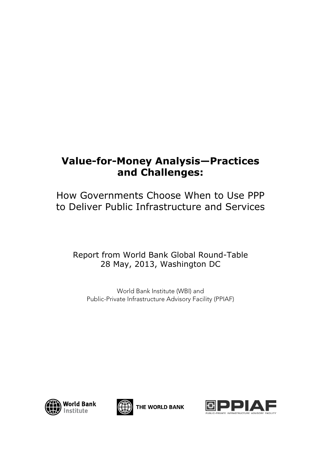## **Value-for-Money Analysis—Practices and Challenges:**

How Governments Choose When to Use PPP to Deliver Public Infrastructure and Services

## Report from World Bank Global Round-Table 28 May, 2013, Washington DC

World Bank Institute (WBI) and Public-Private Infrastructure Advisory Facility (PPIAF)





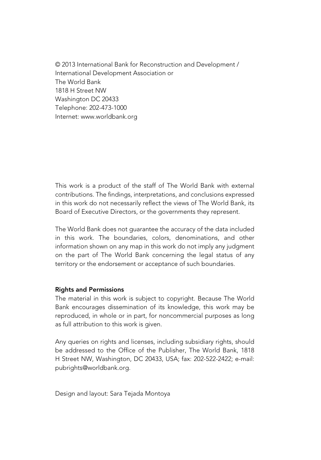© 2013 International Bank for Reconstruction and Development / International Development Association or The World Bank 1818 H Street NW Washington DC 20433 Telephone: 202-473-1000 Internet: www.worldbank.org

This work is a product of the staff of The World Bank with external contributions. The findings, interpretations, and conclusions expressed in this work do not necessarily reflect the views of The World Bank, its Board of Executive Directors, or the governments they represent.

The World Bank does not guarantee the accuracy of the data included in this work. The boundaries, colors, denominations, and other information shown on any map in this work do not imply any judgment on the part of The World Bank concerning the legal status of any territory or the endorsement or acceptance of such boundaries.

#### Rights and Permissions

The material in this work is subject to copyright. Because The World Bank encourages dissemination of its knowledge, this work may be reproduced, in whole or in part, for noncommercial purposes as long as full attribution to this work is given.

Any queries on rights and licenses, including subsidiary rights, should be addressed to the Office of the Publisher, The World Bank, 1818 H Street NW, Washington, DC 20433, USA; fax: 202-522-2422; e-mail: pubrights@worldbank.org.

Design and layout: Sara Tejada Montoya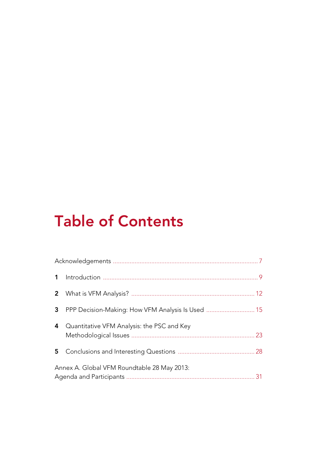# Table of Contents

|   | 3 PPP Decision-Making: How VFM Analysis Is Used  15 |  |
|---|-----------------------------------------------------|--|
| 4 | Quantitative VFM Analysis: the PSC and Key          |  |
|   |                                                     |  |
|   | Annex A. Global VFM Roundtable 28 May 2013:         |  |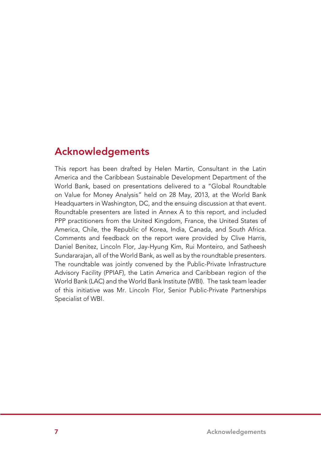## Acknowledgements

This report has been drafted by Helen Martin, Consultant in the Latin America and the Caribbean Sustainable Development Department of the World Bank, based on presentations delivered to a "Global Roundtable on Value for Money Analysis" held on 28 May, 2013, at the World Bank Headquarters in Washington, DC, and the ensuing discussion at that event. Roundtable presenters are listed in Annex A to this report, and included PPP practitioners from the United Kingdom, France, the United States of America, Chile, the Republic of Korea, India, Canada, and South Africa. Comments and feedback on the report were provided by Clive Harris, Daniel Benitez, Lincoln Flor, Jay-Hyung Kim, Rui Monteiro, and Satheesh Sundararajan, all of the World Bank, as well as by the roundtable presenters. The roundtable was jointly convened by the Public-Private Infrastructure Advisory Facility (PPIAF), the Latin America and Caribbean region of the World Bank (LAC) and the World Bank Institute (WBI). The task team leader of this initiative was Mr. Lincoln Flor, Senior Public-Private Partnerships Specialist of WBI.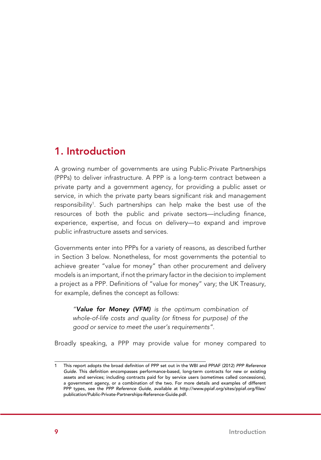## 1. Introduction

A growing number of governments are using Public-Private Partnerships (PPPs) to deliver infrastructure. A PPP is a long-term contract between a private party and a government agency, for providing a public asset or service, in which the private party bears significant risk and management responsibility<sup>1</sup>. Such partnerships can help make the best use of the resources of both the public and private sectors—including finance, experience, expertise, and focus on delivery—to expand and improve public infrastructure assets and services.

Governments enter into PPPs for a variety of reasons, as described further in Section 3 below. Nonetheless, for most governments the potential to achieve greater "value for money" than other procurement and delivery models is an important, if not the primary factor in the decision to implement a project as a PPP. Definitions of "value for money" vary; the UK Treasury, for example, defines the concept as follows:

*"Value for Money (VFM) is the optimum combination of whole-of-life costs and quality (or fitness for purpose) of the good or service to meet the user's requirements".* 

Broadly speaking, a PPP may provide value for money compared to

This report adopts the broad definition of PPP set out in the WBI and PPIAF (2012) PPP Reference *Guide*. This definition encompasses performance-based, long-term contracts for new or existing assets and services; including contracts paid for by service users (sometimes called concessions), a government agency, or a combination of the two. For more details and examples of different PPP types, see the *PPP Reference Guide*, available at http://www.ppiaf.org/sites/ppiaf.org/files/ publication/Public-Private-Partnerships-Reference-Guide.pdf.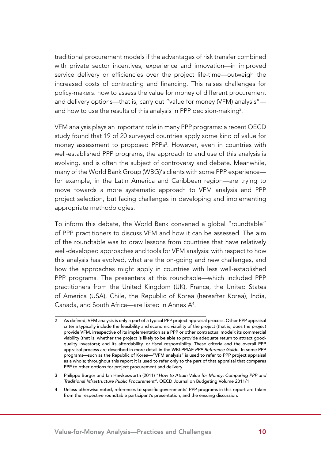traditional procurement models if the advantages of risk transfer combined with private sector incentives, experience and innovation—in improved service delivery or efficiencies over the project life-time—outweigh the increased costs of contracting and financing. This raises challenges for policy-makers: how to assess the value for money of different procurement and delivery options—that is, carry out "value for money (VFM) analysis" and how to use the results of this analysis in PPP decision-making<sup>2</sup>.

VFM analysis plays an important role in many PPP programs: a recent OECD study found that 19 of 20 surveyed countries apply some kind of value for money assessment to proposed PPPs<sup>3</sup>. However, even in countries with well-established PPP programs, the approach to and use of this analysis is evolving, and is often the subject of controversy and debate. Meanwhile, many of the World Bank Group (WBG)'s clients with some PPP experience for example, in the Latin America and Caribbean region—are trying to move towards a more systematic approach to VFM analysis and PPP project selection, but facing challenges in developing and implementing appropriate methodologies.

To inform this debate, the World Bank convened a global "roundtable" of PPP practitioners to discuss VFM and how it can be assessed. The aim of the roundtable was to draw lessons from countries that have relatively well-developed approaches and tools for VFM analysis: with respect to how this analysis has evolved, what are the on-going and new challenges, and how the approaches might apply in countries with less well-established PPP programs. The presenters at this roundtable—which included PPP practitioners from the United Kingdom (UK), France, the United States of America (USA), Chile, the Republic of Korea (hereafter Korea), India, Canada, and South Africa—are listed in Annex  $A^4$ .

<sup>2</sup> As defined, VFM analysis is only a *part* of a typical PPP project appraisal process. Other PPP appraisal criteria typically include the feasibility and economic viability of the project (that is, does the *project* provide VFM, irrespective of its implementation as a PPP or other contractual model); its commercial viability (that is, whether the project is likely to be able to provide adequate return to attract goodquality investors); and its affordability, or fiscal responsibility. These criteria and the overall PPP appraisal process are described in more detail in the WBI-PPIAF *PPP Reference Guide*. In some PPP programs—such as the Republic of Korea—"VFM analysis" is used to refer to PPP project appraisal as a whole; throughout this report it is used to refer only to the part of that appraisal that compares PPP to other options for project procurement and delivery.

<sup>3</sup> Philippe Burger and Ian Hawkesworth (2011) "*How to Attain Value for Money: Comparing PPP and Traditional Infrastructure Public Procurement"*, OECD Journal on Budgeting Volume 2011/1

<sup>4</sup> Unless otherwise noted, references to specific governments' PPP programs in this report are taken from the respective roundtable participant's presentation, and the ensuing discussion.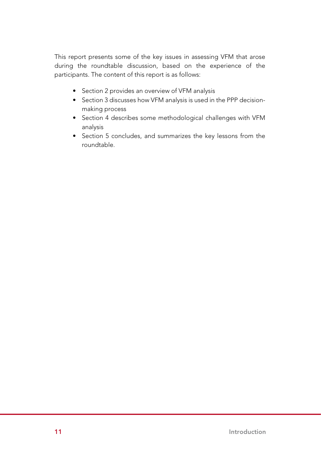This report presents some of the key issues in assessing VFM that arose during the roundtable discussion, based on the experience of the participants. The content of this report is as follows:

- Section 2 provides an overview of VFM analysis
- Section 3 discusses how VFM analysis is used in the PPP decisionmaking process
- Section 4 describes some methodological challenges with VFM analysis
- • Section 5 concludes, and summarizes the key lessons from the roundtable.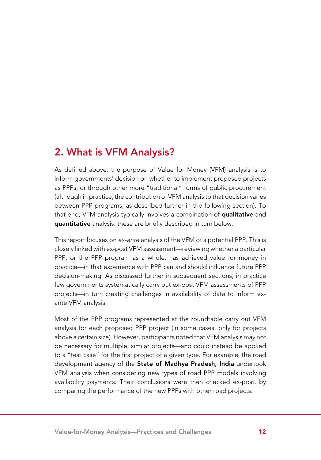## 2. What is VFM Analysis?

As defined above, the purpose of Value for Money (VFM) analysis is to inform governments' decision on whether to implement proposed projects as PPPs, or through other more "traditional" forms of public procurement (although in practice, the contribution of VFM analysis to that decision varies between PPP programs, as described further in the following section). To that end, VFM analysis typically involves a combination of qualitative and quantitative analysis: these are briefly described in turn below.

This report focuses on *ex-ante* analysis of the VFM of a potential PPP. This is closely linked with ex-post VFM assessment—reviewing whether a particular PPP, or the PPP program as a whole, has achieved value for money in practice—in that experience with PPP can and should influence future PPP decision-making. As discussed further in subsequent sections, in practice few governments systematically carry out ex-post VFM assessments of PPP projects—in turn creating challenges in availability of data to inform exante VFM analysis.

Most of the PPP programs represented at the roundtable carry out VFM analysis for each proposed PPP project (in some cases, only for projects above a certain size). However, participants noted that VFM analysis may not be necessary for multiple, similar projects—and could instead be applied to a "test case" for the first project of a given type. For example, the road development agency of the State of Madhya Pradesh, India undertook VFM analysis when considering new types of road PPP models involving availability payments. Their conclusions were then checked ex-post, by comparing the performance of the new PPPs with other road projects.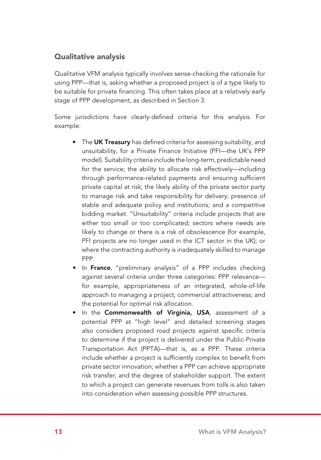#### Qualitative analysis

Qualitative VFM analysis typically involves sense-checking the rationale for using PPP—that is, asking whether a proposed project is of a type likely to be suitable for private financing. This often takes place at a relatively early stage of PPP development, as described in Section 3.

Some jurisdictions have clearly-defined criteria for this analysis. For example:

- The UK Treasury has defined criteria for assessing suitability, and unsuitability, for a Private Finance Initiative (PFI—the UK's PPP model). Suitability criteria include the long-term, predictable need for the service; the ability to allocate risk effectively—including through performance-related payments and ensuring sufficient private capital at risk; the likely ability of the private sector party to manage risk and take responsibility for delivery; presence of stable and adequate policy and institutions; and a competitive bidding market. "Unsuitability" criteria include projects that are either too small or too complicated; sectors where needs are likely to change or there is a risk of obsolescence (for example, PFI projects are no longer used in the ICT sector in the UK); or where the contracting authority is inadequately skilled to manage PPP.
- In France, "preliminary analysis" of a PPP includes checking against several criteria under three categories: PPP relevance for example, appropriateness of an integrated, whole-of-life approach to managing a project; commercial attractiveness; and the potential for optimal risk allocation.
- In the Commonwealth of Virginia, USA, assessment of a potential PPP at "high level" and detailed screening stages also considers proposed road projects against specific criteria to determine if the project is delivered under the Public-Private Transportation Act (PPTA)—that is, as a PPP. These criteria include whether a project is sufficiently complex to benefit from private sector innovation; whether a PPP can achieve appropriate risk transfer; and the degree of stakeholder support. The extent to which a project can generate revenues from tolls is also taken into consideration when assessing possible PPP structures.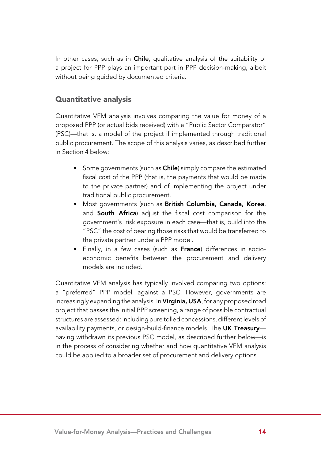In other cases, such as in **Chile**, qualitative analysis of the suitability of a project for PPP plays an important part in PPP decision-making, albeit without being guided by documented criteria.

#### Quantitative analysis

Quantitative VFM analysis involves comparing the value for money of a proposed PPP (or actual bids received) with a "Public Sector Comparator" (PSC)—that is, a model of the project if implemented through traditional public procurement. The scope of this analysis varies, as described further in Section 4 below:

- Some governments (such as **Chile**) simply compare the estimated fiscal cost of the PPP (that is, the payments that would be made to the private partner) and of implementing the project under traditional public procurement.
- Most governments (such as British Columbia, Canada, Korea, and **South Africa**) adjust the fiscal cost comparison for the government's risk exposure in each case—that is, build into the "PSC" the cost of bearing those risks that would be transferred to the private partner under a PPP model.
- Finally, in a few cases (such as France) differences in socioeconomic benefits between the procurement and delivery models are included.

Quantitative VFM analysis has typically involved comparing two options: a "preferred" PPP model, against a PSC. However, governments are increasingly expanding the analysis. In Virginia, USA, for any proposed road project that passes the initial PPP screening, a range of possible contractual structures are assessed: including pure tolled concessions, different levels of availability payments, or design-build-finance models. The UK Treasuryhaving withdrawn its previous PSC model, as described further below—is in the process of considering whether and how quantitative VFM analysis could be applied to a broader set of procurement and delivery options.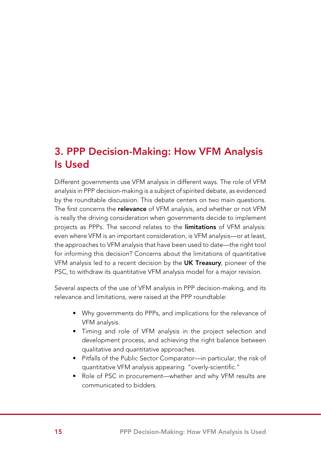## 3. PPP Decision-Making: How VFM Analysis Is Used

Different governments use VFM analysis in different ways. The role of VFM analysis in PPP decision-making is a subject of spirited debate, as evidenced by the roundtable discussion. This debate centers on two main questions. The first concerns the relevance of VFM analysis, and whether or not VFM is really the driving consideration when governments decide to implement projects as PPPs. The second relates to the *limitations* of VFM analysis: even where VFM is an important consideration, is VFM analysis—or at least, the approaches to VFM analysis that have been used to date—the right tool for informing this decision? Concerns about the limitations of quantitative VFM analysis led to a recent decision by the UK Treasury, pioneer of the PSC, to withdraw its quantitative VFM analysis model for a major revision.

Several aspects of the use of VFM analysis in PPP decision-making, and its relevance and limitations, were raised at the PPP roundtable:

- Why governments do PPPs, and implications for the relevance of VFM analysis.
- Timing and role of VFM analysis in the project selection and development process, and achieving the right balance between qualitative and quantitative approaches.
- Pitfalls of the Public Sector Comparator—in particular, the risk of quantitative VFM analysis appearing "overly-scientific."
- Role of PSC in procurement—whether and why VFM results are communicated to bidders.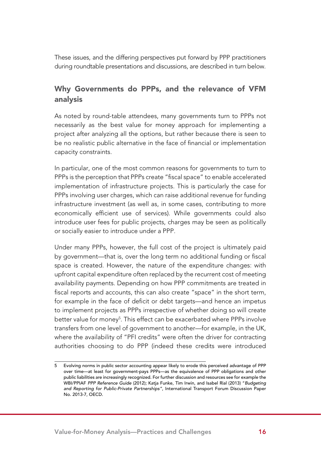These issues, and the differing perspectives put forward by PPP practitioners during roundtable presentations and discussions, are described in turn below.

### Why Governments do PPPs, and the relevance of VFM analysis

As noted by round-table attendees, many governments turn to PPPs not necessarily as the best value for money approach for implementing a project after analyzing all the options, but rather because there is seen to be no realistic public alternative in the face of financial or implementation capacity constraints.

In particular, one of the most common reasons for governments to turn to PPPs is the perception that PPPs create "fiscal space" to enable accelerated implementation of infrastructure projects. This is particularly the case for PPPs involving user charges, which can raise additional revenue for funding infrastructure investment (as well as, in some cases, contributing to more economically efficient use of services). While governments could also introduce user fees for public projects, charges may be seen as politically or socially easier to introduce under a PPP.

Under many PPPs, however, the full cost of the project is ultimately paid by government—that is, over the long term no additional funding or fiscal space is created. However, the nature of the expenditure changes: with upfront capital expenditure often replaced by the recurrent cost of meeting availability payments. Depending on how PPP commitments are treated in fiscal reports and accounts, this can also create "space" in the short term, for example in the face of deficit or debt targets—and hence an impetus to implement projects as PPPs irrespective of whether doing so will create better value for money<sup>s</sup>. This effect can be exacerbated where PPPs involve transfers from one level of government to another—for example, in the UK, where the availability of "PFI credits" were often the driver for contracting authorities choosing to do PPP (indeed these credits were introduced

<sup>5</sup> Evolving norms in public sector accounting appear likely to erode this perceived advantage of PPP over time—at least for government-pays PPPs—as the equivalence of PPP obligations and other public liabilities are increasingly recognized. For further discussion and resources see for example the WBI/PPIAF *PPP Reference Guide* (2012); Katja Funke, Tim Irwin, and Isabel Rial (2013) "*Budgeting and Reporting for Public-Private Partnerships"*, International Transport Forum Discussion Paper No. 2013-7, OECD.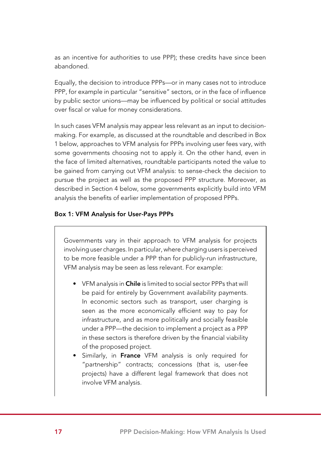as an incentive for authorities to use PPP); these credits have since been abandoned.

Equally, the decision to introduce PPPs—or in many cases not to introduce PPP, for example in particular "sensitive" sectors, or in the face of influence by public sector unions—may be influenced by political or social attitudes over fiscal or value for money considerations.

In such cases VFM analysis may appear less relevant as an input to decisionmaking. For example, as discussed at the roundtable and described in Box 1 below, approaches to VFM analysis for PPPs involving user fees vary, with some governments choosing not to apply it. On the other hand, even in the face of limited alternatives, roundtable participants noted the value to be gained from carrying out VFM analysis: to sense-check the decision to pursue the project as well as the proposed PPP structure. Moreover, as described in Section 4 below, some governments explicitly build into VFM analysis the benefits of earlier implementation of proposed PPPs.

#### Box 1: VFM Analysis for User-Pays PPPs

Governments vary in their approach to VFM analysis for projects involving user charges. In particular, where charging users is perceived to be more feasible under a PPP than for publicly-run infrastructure, VFM analysis may be seen as less relevant. For example:

- VFM analysis in Chile is limited to social sector PPPs that will be paid for entirely by Government availability payments. In economic sectors such as transport, user charging is seen as the more economically efficient way to pay for infrastructure, and as more politically and socially feasible under a PPP—the decision to implement a project as a PPP in these sectors is therefore driven by the financial viability of the proposed project.
- Similarly, in France VFM analysis is only required for "partnership" contracts; concessions (that is, user-fee projects) have a different legal framework that does not involve VFM analysis.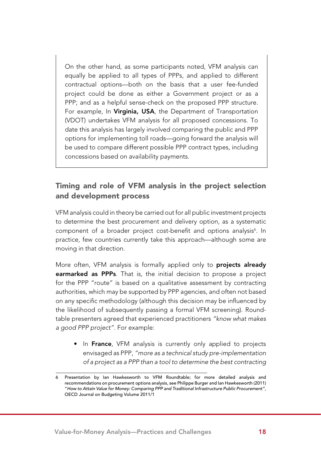On the other hand, as some participants noted, VFM analysis can equally be applied to all types of PPPs, and applied to different contractual options—both on the basis that a user fee-funded project could be done as either a Government project or as a PPP; and as a helpful sense-check on the proposed PPP structure. For example, In Virginia, USA, the Department of Transportation (VDOT) undertakes VFM analysis for all proposed concessions. To date this analysis has largely involved comparing the public and PPP options for implementing toll roads—going forward the analysis will be used to compare different possible PPP contract types, including concessions based on availability payments.

#### Timing and role of VFM analysis in the project selection and development process

VFM analysis could in theory be carried out for all public investment projects to determine the best procurement and delivery option, as a systematic component of a broader project cost-benefit and options analysis<sup>6</sup>. In practice, few countries currently take this approach—although some are moving in that direction.

More often, VFM analysis is formally applied only to **projects already** earmarked as PPPs. That is, the initial decision to propose a project for the PPP "route" is based on a qualitative assessment by contracting authorities, which may be supported by PPP agencies, and often not based on any specific methodology (although this decision may be influenced by the likelihood of subsequently passing a formal VFM screening). Roundtable presenters agreed that experienced practitioners *"know what makes a good PPP project"*. For example:

• In France, VFM analysis is currently only applied to projects envisaged as PPP, *"more as a technical study pre-implementation of a project as a PPP than a tool to determine the best contracting* 

<sup>6</sup> Presentation by Ian Hawkesworth to VFM Roundtable; for more detailed analysis and recommendations on procurement options analysis, see Philippe Burger and Ian Hawkesworth (2011) "*How to Attain Value for Money: Comparing PPP and Traditional Infrastructure Public Procurement"*, OECD Journal on Budgeting Volume 2011/1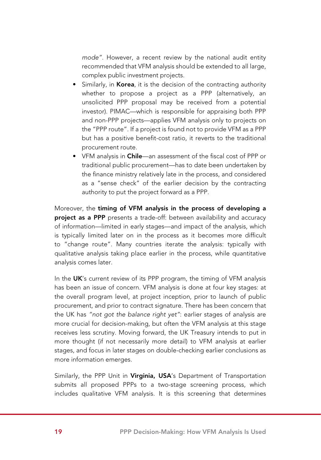*mode"*. However, a recent review by the national audit entity recommended that VFM analysis should be extended to all large, complex public investment projects.

- Similarly, in **Korea**, it is the decision of the contracting authority whether to propose a project as a PPP (alternatively, an unsolicited PPP proposal may be received from a potential investor). PIMAC—which is responsible for appraising both PPP and non-PPP projects—applies VFM analysis only to projects on the "PPP route". If a project is found not to provide VFM as a PPP but has a positive benefit-cost ratio, it reverts to the traditional procurement route.
- VFM analysis in Chile—an assessment of the fiscal cost of PPP or traditional public procurement—has to date been undertaken by the finance ministry relatively late in the process, and considered as a "sense check" of the earlier decision by the contracting authority to put the project forward as a PPP.

Moreover, the timing of VFM analysis in the process of developing a project as a PPP presents a trade-off: between availability and accuracy of information—limited in early stages—and impact of the analysis, which is typically limited later on in the process as it becomes more difficult to "change route". Many countries iterate the analysis: typically with qualitative analysis taking place earlier in the process, while quantitative analysis comes later.

In the UK's current review of its PPP program, the timing of VFM analysis has been an issue of concern. VFM analysis is done at four key stages: at the overall program level, at project inception, prior to launch of public procurement, and prior to contract signature. There has been concern that the UK has *"not got the balance right yet"*: earlier stages of analysis are more crucial for decision-making, but often the VFM analysis at this stage receives less scrutiny. Moving forward, the UK Treasury intends to put in more thought (if not necessarily more detail) to VFM analysis at earlier stages, and focus in later stages on double-checking earlier conclusions as more information emerges.

Similarly, the PPP Unit in Virginia, USA's Department of Transportation submits all proposed PPPs to a two-stage screening process, which includes qualitative VFM analysis. It is this screening that determines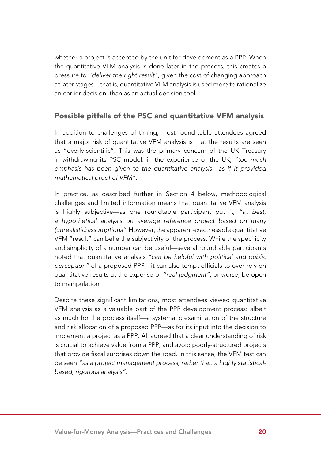whether a project is accepted by the unit for development as a PPP. When the quantitative VFM analysis is done later in the process, this creates a pressure to *"deliver the right result"*, given the cost of changing approach at later stages—that is, quantitative VFM analysis is used more to rationalize an earlier decision, than as an actual decision tool.

#### Possible pitfalls of the PSC and quantitative VFM analysis

In addition to challenges of timing, most round-table attendees agreed that a major risk of quantitative VFM analysis is that the results are seen as "overly-scientific". This was the primary concern of the UK Treasury in withdrawing its PSC model: in the experience of the UK, *"too much emphasis has been given to the quantitative analysis—as if it provided mathematical proof of VFM".*

In practice, as described further in Section 4 below, methodological challenges and limited information means that quantitative VFM analysis is highly subjective—as one roundtable participant put it, *"at best, a hypothetical analysis on average reference project based on many (unrealistic) assumptions"*. However, the apparent exactness of a quantitative VFM "result" can belie the subjectivity of the process. While the specificity and simplicity of a number can be useful—several roundtable participants noted that quantitative analysis *"can be helpful with political and public perception"* of a proposed PPP—it can also tempt officials to over-rely on quantitative results at the expense of *"real judgment"*; or worse, be open to manipulation.

Despite these significant limitations, most attendees viewed quantitative VFM analysis as a valuable part of the PPP development process: albeit as much for the process itself—a systematic examination of the structure and risk allocation of a proposed PPP—as for its input into the decision to implement a project as a PPP. All agreed that a clear understanding of risk is crucial to achieve value from a PPP, and avoid poorly-structured projects that provide fiscal surprises down the road. In this sense, the VFM test can be seen *"as a project management process, rather than a highly statisticalbased, rigorous analysis"*.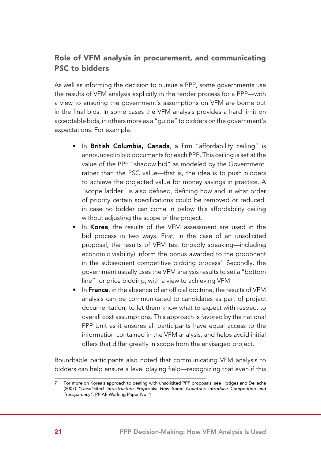#### Role of VFM analysis in procurement, and communicating PSC to bidders

As well as informing the decision to pursue a PPP, some governments use the results of VFM analysis explicitly in the tender process for a PPP—with a view to ensuring the government's assumptions on VFM are borne out in the final bids. In some cases the VFM analysis provides a hard limit on acceptable bids, in others more as a "guide" to bidders on the government's expectations. For example:

- In British Columbia, Canada, a firm "affordability ceiling" is announced in bid documents for each PPP. This ceiling is set at the value of the PPP "shadow bid" as modeled by the Government, rather than the PSC value—that is, the idea is to push bidders to achieve the projected value for money savings in practice. A "scope ladder" is also defined, defining how and in what order of priority certain specifications could be removed or reduced, in case no bidder can come in below this affordability ceiling without adjusting the scope of the project.
- In Korea, the results of the VFM assessment are used in the bid process in two ways. First, in the case of an unsolicited proposal, the results of VFM test (broadly speaking—including economic viability) inform the bonus awarded to the proponent in the subsequent competitive bidding process<sup>7</sup>. Secondly, the government usually uses the VFM analysis results to set a "bottom line" for price bidding, with a view to achieving VFM.
- In France, in the absence of an official doctrine, the results of VFM analysis can be communicated to candidates as part of project documentation, to let them know what to expect with respect to overall cost assumptions. This approach is favored by the national PPP Unit as it ensures all participants have equal access to the information contained in the VFM analysis, and helps avoid initial offers that differ greatly in scope from the envisaged project.

Roundtable participants also noted that communicating VFM analysis to bidders can help ensure a level playing field—recognizing that even if this

<sup>7</sup> For more on Korea's approach to dealing with unsolicited PPP proposals, see Hodges and Dellacha (2007) "*Unsolicited Infrastructure Proposals: How Some Countries Introduce Competition and Transparency"*, PPIAF Working Paper No. 1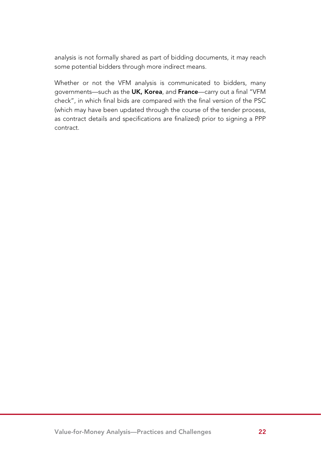analysis is not formally shared as part of bidding documents, it may reach some potential bidders through more indirect means.

Whether or not the VFM analysis is communicated to bidders, many governments—such as the UK, Korea, and France—carry out a final "VFM check", in which final bids are compared with the final version of the PSC (which may have been updated through the course of the tender process, as contract details and specifications are finalized) prior to signing a PPP contract.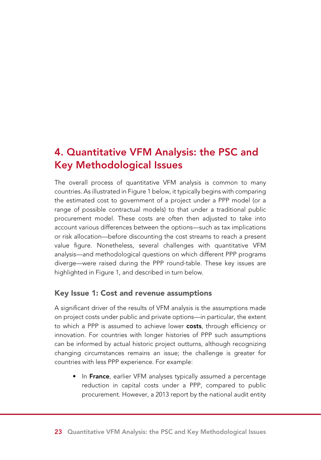## 4. Quantitative VFM Analysis: the PSC and Key Methodological Issues

The overall process of quantitative VFM analysis is common to many countries. As illustrated in Figure 1 below, it typically begins with comparing the estimated cost to government of a project under a PPP model (or a range of possible contractual models) to that under a traditional public procurement model. These costs are often then adjusted to take into account various differences between the options—such as tax implications or risk allocation—before discounting the cost streams to reach a present value figure. Nonetheless, several challenges with quantitative VFM analysis—and methodological questions on which different PPP programs diverge—were raised during the PPP round-table. These key issues are highlighted in Figure 1, and described in turn below.

#### Key Issue 1: Cost and revenue assumptions

A significant driver of the results of VFM analysis is the assumptions made on project costs under public and private options—in particular, the extent to which a PPP is assumed to achieve lower costs, through efficiency or innovation. For countries with longer histories of PPP such assumptions can be informed by actual historic project outturns, although recognizing changing circumstances remains an issue; the challenge is greater for countries with less PPP experience. For example:

• In France, earlier VFM analyses typically assumed a percentage reduction in capital costs under a PPP, compared to public procurement. However, a 2013 report by the national audit entity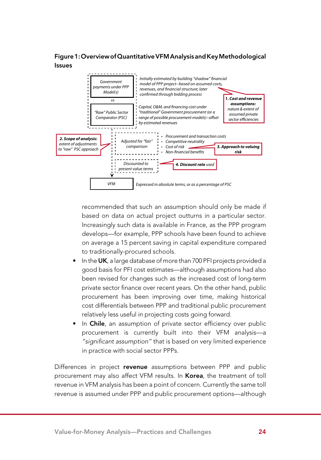Figure 1: Overview of Quantitative VFM Analysis and Key Methodological Issues



recommended that such an assumption should only be made if based on data on actual project outturns in a particular sector. Increasingly such data is available in France, as the PPP program develops—for example, PPP schools have been found to achieve on average a 15 percent saving in capital expenditure compared to traditionally-procured schools.

- In the UK, a large database of more than 700 PFI projects provided a good basis for PFI cost estimates—although assumptions had also been revised for changes such as the increased cost of long-term private sector finance over recent years. On the other hand, public procurement has been improving over time, making historical cost differentials between PPP and traditional public procurement relatively less useful in projecting costs going forward.
- In Chile, an assumption of private sector efficiency over public procurement is currently built into their VFM analysis—a *"significant assumption"* that is based on very limited experience in practice with social sector PPPs.

Differences in project revenue assumptions between PPP and public procurement may also affect VFM results. In Korea, the treatment of toll revenue in VFM analysis has been a point of concern. Currently the same toll revenue is assumed under PPP and public procurement options—although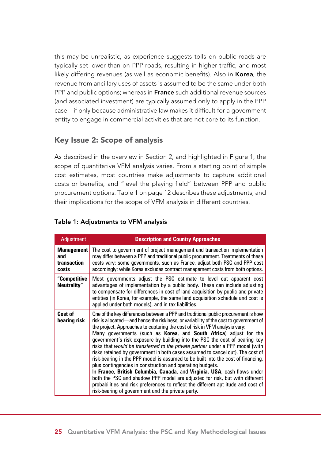this may be unrealistic, as experience suggests tolls on public roads are typically set lower than on PPP roads, resulting in higher traffic, and most likely differing revenues (as well as economic benefits). Also in **Korea**, the revenue from ancillary uses of assets is assumed to be the same under both PPP and public options; whereas in France such additional revenue sources (and associated investment) are typically assumed only to apply in the PPP case—if only because administrative law makes it difficult for a government entity to engage in commercial activities that are not core to its function.

#### Key Issue 2: Scope of analysis

As described in the overview in Section 2, and highlighted in Figure 1, the scope of quantitative VFM analysis varies. From a starting point of simple cost estimates, most countries make adjustments to capture additional costs or benefits, and "level the playing field" between PPP and public procurement options. Table 1 on page 12 describes these adjustments, and their implications for the scope of VFM analysis in different countries.

| <b>Adjustment</b>                                | <b>Description and Country Approaches</b>                                                                                                                                                                                                                                                                                                                                                                                                                                                                                                                                                                                                                                                                                                                                                                                                                                                                                                                                                                                                 |
|--------------------------------------------------|-------------------------------------------------------------------------------------------------------------------------------------------------------------------------------------------------------------------------------------------------------------------------------------------------------------------------------------------------------------------------------------------------------------------------------------------------------------------------------------------------------------------------------------------------------------------------------------------------------------------------------------------------------------------------------------------------------------------------------------------------------------------------------------------------------------------------------------------------------------------------------------------------------------------------------------------------------------------------------------------------------------------------------------------|
| <b>Management</b><br>and<br>transaction<br>costs | The cost to government of project management and transaction implementation<br>may differ between a PPP and traditional public procurement. Treatments of these<br>costs vary: some governments, such as France, adjust both PSC and PPP cost<br>accordingly; while Korea excludes contract management costs from both options.                                                                                                                                                                                                                                                                                                                                                                                                                                                                                                                                                                                                                                                                                                           |
| "Competitive<br>Neutrality"                      | Most governments adjust the PSC estimate to level out apparent cost<br>advantages of implementation by a public body. These can include adjusting<br>to compensate for differences in cost of land acquisition by public and private<br>entities (in Korea, for example, the same land acquisition schedule and cost is<br>applied under both models), and in tax liabilities.                                                                                                                                                                                                                                                                                                                                                                                                                                                                                                                                                                                                                                                            |
| Cost of<br>bearing risk                          | One of the key differences between a PPP and traditional public procurement is how<br>risk is allocated—and hence the riskiness, or variability of the cost to government of<br>the project. Approaches to capturing the cost of risk in VFM analysis vary:<br>Many governments (such as Korea, and South Africa) adjust for the<br>government's risk exposure by building into the PSC the cost of bearing key<br>risks that would be transferred to the private partner under a PPP model (with<br>risks retained by government in both cases assumed to cancel out). The cost of<br>risk-bearing in the PPP model is assumed to be built into the cost of financing,<br>plus contingencies in construction and operating budgets.<br>In France, British Columbia, Canada, and Virginia, USA, cash flows under<br>both the PSC and shadow PPP model are adjusted for risk, but with different<br>probabilities and risk preferences to reflect the different apt itude and cost of<br>risk-bearing of government and the private party. |

#### Table 1: Adjustments to VFM analysis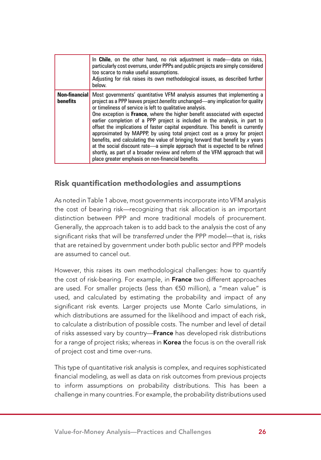|                 | In Chile, on the other hand, no risk adjustment is made—data on risks,<br>particularly cost overruns, under PPPs and public projects are simply considered<br>too scarce to make useful assumptions.<br>Adjusting for risk raises its own methodological issues, as described further<br>helow.                                                                                                                                                                                                                                                                                                                                                                                                                                                                                                                                                                                              |
|-----------------|----------------------------------------------------------------------------------------------------------------------------------------------------------------------------------------------------------------------------------------------------------------------------------------------------------------------------------------------------------------------------------------------------------------------------------------------------------------------------------------------------------------------------------------------------------------------------------------------------------------------------------------------------------------------------------------------------------------------------------------------------------------------------------------------------------------------------------------------------------------------------------------------|
| <b>benefits</b> | <b>Non-financial</b> Most governments' quantitative VFM analysis assumes that implementing a<br>project as a PPP leaves project benefits unchanged-any implication for quality<br>or timeliness of service is left to qualitative analysis.<br>One exception is <b>France</b> , where the higher benefit associated with expected<br>earlier completion of a PPP project is included in the analysis, in part to<br>offset the implications of faster capital expenditure. This benefit is currently<br>approximated by MAPPP, by using total project cost as a proxy for project<br>benefits, and calculating the value of bringing forward that benefit by $x$ years<br>at the social discount rate-a simple approach that is expected to be refined<br>shortly, as part of a broader review and reform of the VFM approach that will<br>place greater emphasis on non-financial benefits. |

#### Risk quantification methodologies and assumptions

As noted in Table 1 above, most governments incorporate into VFM analysis the cost of bearing risk—recognizing that risk allocation is an important distinction between PPP and more traditional models of procurement. Generally, the approach taken is to add back to the analysis the cost of any significant risks that will be *transferred* under the PPP model—that is, risks that are retained by government under both public sector and PPP models are assumed to cancel out.

However, this raises its own methodological challenges: how to quantify the cost of risk-bearing. For example, in France two different approaches are used. For smaller projects (less than €50 million), a "mean value" is used, and calculated by estimating the probability and impact of any significant risk events. Larger projects use Monte Carlo simulations, in which distributions are assumed for the likelihood and impact of each risk, to calculate a distribution of possible costs. The number and level of detail of risks assessed vary by country-France has developed risk distributions for a range of project risks; whereas in Korea the focus is on the overall risk of project cost and time over-runs.

This type of quantitative risk analysis is complex, and requires sophisticated financial modeling, as well as data on risk outcomes from previous projects to inform assumptions on probability distributions. This has been a challenge in many countries. For example, the probability distributions used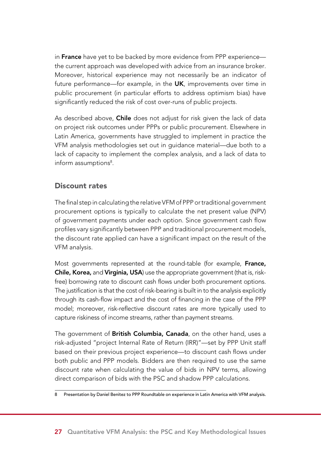in France have yet to be backed by more evidence from PPP experience the current approach was developed with advice from an insurance broker. Moreover, historical experience may not necessarily be an indicator of future performance—for example, in the UK, improvements over time in public procurement (in particular efforts to address optimism bias) have significantly reduced the risk of cost over-runs of public projects.

As described above, **Chile** does not adjust for risk given the lack of data on project risk outcomes under PPPs or public procurement. Elsewhere in Latin America, governments have struggled to implement in practice the VFM analysis methodologies set out in guidance material—due both to a lack of capacity to implement the complex analysis, and a lack of data to inform assumptions<sup>8</sup>.

#### Discount rates

The final step in calculating the relative VFM of PPP or traditional government procurement options is typically to calculate the net present value (NPV) of government payments under each option. Since government cash flow profiles vary significantly between PPP and traditional procurement models, the discount rate applied can have a significant impact on the result of the VFM analysis.

Most governments represented at the round-table (for example, France, Chile, Korea, and Virginia, USA) use the appropriate government (that is, riskfree) borrowing rate to discount cash flows under both procurement options. The justification is that the cost of risk-bearing is built in to the analysis explicitly through its cash-flow impact and the cost of financing in the case of the PPP model; moreover, risk-reflective discount rates are more typically used to capture riskiness of income streams, rather than payment streams.

The government of British Columbia, Canada, on the other hand, uses a risk-adjusted "project Internal Rate of Return (IRR)"—set by PPP Unit staff based on their previous project experience—to discount cash flows under both public and PPP models. Bidders are then required to use the same discount rate when calculating the value of bids in NPV terms, allowing direct comparison of bids with the PSC and shadow PPP calculations.

<sup>8</sup> Presentation by Daniel Benitez to PPP Roundtable on experience in Latin America with VFM analysis.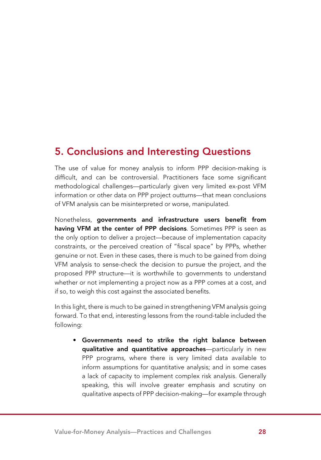## 5. Conclusions and Interesting Questions

The use of value for money analysis to inform PPP decision-making is difficult, and can be controversial. Practitioners face some significant methodological challenges—particularly given very limited ex-post VFM information or other data on PPP project outturns—that mean conclusions of VFM analysis can be misinterpreted or worse, manipulated.

Nonetheless, governments and infrastructure users benefit from having VFM at the center of PPP decisions. Sometimes PPP is seen as the only option to deliver a project—because of implementation capacity constraints, or the perceived creation of "fiscal space" by PPPs, whether genuine or not. Even in these cases, there is much to be gained from doing VFM analysis to sense-check the decision to pursue the project, and the proposed PPP structure—it is worthwhile to governments to understand whether or not implementing a project now as a PPP comes at a cost, and if so, to weigh this cost against the associated benefits.

In this light, there is much to be gained in strengthening VFM analysis going forward. To that end, interesting lessons from the round-table included the following:

• Governments need to strike the right balance between qualitative and quantitative approaches—particularly in new PPP programs, where there is very limited data available to inform assumptions for quantitative analysis; and in some cases a lack of capacity to implement complex risk analysis. Generally speaking, this will involve greater emphasis and scrutiny on qualitative aspects of PPP decision-making—for example through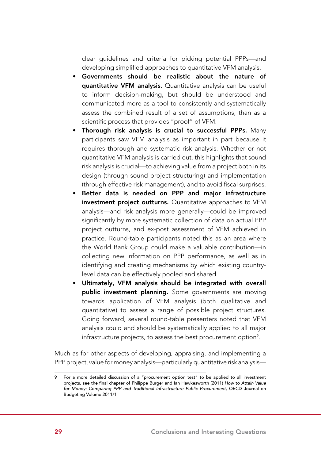clear guidelines and criteria for picking potential PPPs—and developing simplified approaches to quantitative VFM analysis.

- • Governments should be realistic about the nature of quantitative VFM analysis. Quantitative analysis can be useful to inform decision-making, but should be understood and communicated more as a tool to consistently and systematically assess the combined result of a set of assumptions, than as a scientific process that provides "proof" of VFM.
- Thorough risk analysis is crucial to successful PPPs. Many participants saw VFM analysis as important in part because it requires thorough and systematic risk analysis. Whether or not quantitative VFM analysis is carried out, this highlights that sound risk analysis is crucial—to achieving value from a project both in its design (through sound project structuring) and implementation (through effective risk management), and to avoid fiscal surprises.
- • Better data is needed on PPP and major infrastructure investment project outturns. Quantitative approaches to VFM analysis—and risk analysis more generally—could be improved significantly by more systematic collection of data on actual PPP project outturns, and ex-post assessment of VFM achieved in practice. Round-table participants noted this as an area where the World Bank Group could make a valuable contribution—in collecting new information on PPP performance, as well as in identifying and creating mechanisms by which existing countrylevel data can be effectively pooled and shared.
- • Ultimately, VFM analysis should be integrated with overall public investment planning. Some governments are moving towards application of VFM analysis (both qualitative and quantitative) to assess a range of possible project structures. Going forward, several round-table presenters noted that VFM analysis could and should be systematically applied to all major infrastructure projects, to assess the best procurement option $^{\circ}$ .

Much as for other aspects of developing, appraising, and implementing a PPP project, value for money analysis—particularly quantitative risk analysis—

For a more detailed discussion of a "procurement option test" to be applied to all investment projects, see the final chapter of Philippe Burger and Ian Hawkesworth (2011) *How to Attain Value for Money: Comparing PPP and Traditional Infrastructure Public Procurement*, OECD Journal on Budgeting Volume 2011/1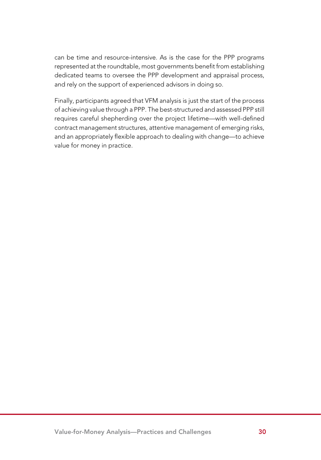can be time and resource-intensive. As is the case for the PPP programs represented at the roundtable, most governments benefit from establishing dedicated teams to oversee the PPP development and appraisal process, and rely on the support of experienced advisors in doing so.

Finally, participants agreed that VFM analysis is just the start of the process of achieving value through a PPP. The best-structured and assessed PPP still requires careful shepherding over the project lifetime—with well-defined contract management structures, attentive management of emerging risks, and an appropriately flexible approach to dealing with change—to achieve value for money in practice.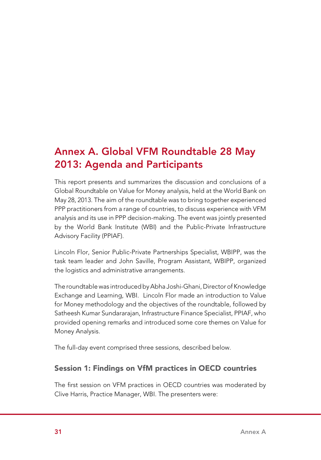# Annex A. Global VFM Roundtable 28 May 2013: Agenda and Participants

This report presents and summarizes the discussion and conclusions of a Global Roundtable on Value for Money analysis, held at the World Bank on May 28, 2013. The aim of the roundtable was to bring together experienced PPP practitioners from a range of countries, to discuss experience with VFM analysis and its use in PPP decision-making. The event was jointly presented by the World Bank Institute (WBI) and the Public-Private Infrastructure Advisory Facility (PPIAF).

Lincoln Flor, Senior Public-Private Partnerships Specialist, WBIPP, was the task team leader and John Saville, Program Assistant, WBIPP, organized the logistics and administrative arrangements.

The roundtable was introduced by Abha Joshi-Ghani, Director of Knowledge Exchange and Learning, WBI. Lincoln Flor made an introduction to Value for Money methodology and the objectives of the roundtable, followed by Satheesh Kumar Sundararajan, Infrastructure Finance Specialist, PPIAF, who provided opening remarks and introduced some core themes on Value for Money Analysis.

The full-day event comprised three sessions, described below.

#### Session 1: Findings on VfM practices in OECD countries

The first session on VFM practices in OECD countries was moderated by Clive Harris, Practice Manager, WBI. The presenters were: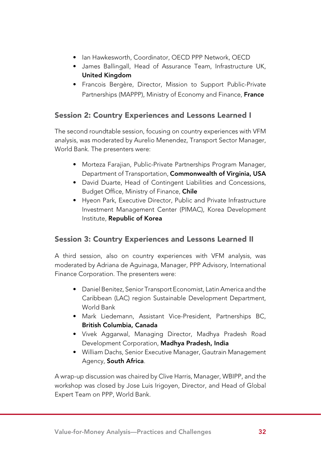- Ian Hawkesworth, Coordinator, OECD PPP Network, OECD
- • James Ballingall, Head of Assurance Team, Infrastructure UK, United Kingdom
- • Francois Bergère, Director, Mission to Support Public-Private Partnerships (MAPPP), Ministry of Economy and Finance, France

### Session 2: Country Experiences and Lessons Learned I

The second roundtable session, focusing on country experiences with VFM analysis, was moderated by Aurelio Menendez, Transport Sector Manager, World Bank. The presenters were:

- Morteza Farajian, Public-Private Partnerships Program Manager, Department of Transportation, Commonwealth of Virginia, USA
- David Duarte, Head of Contingent Liabilities and Concessions, Budget Office, Ministry of Finance, Chile
- Hyeon Park, Executive Director, Public and Private Infrastructure Investment Management Center (PIMAC), Korea Development Institute, Republic of Korea

#### Session 3: Country Experiences and Lessons Learned II

A third session, also on country experiences with VFM analysis, was moderated by Adriana de Aguinaga, Manager, PPP Advisory, International Finance Corporation. The presenters were:

- Daniel Benitez, Senior Transport Economist, Latin America and the Caribbean (LAC) region Sustainable Development Department, World Bank
- Mark Liedemann, Assistant Vice-President, Partnerships BC, British Columbia, Canada
- • Vivek Aggarwal, Managing Director, Madhya Pradesh Road Development Corporation, Madhya Pradesh, India
- William Dachs, Senior Executive Manager, Gautrain Management Agency, South Africa.

A wrap-up discussion was chaired by Clive Harris, Manager, WBIPP, and the workshop was closed by Jose Luis Irigoyen, Director, and Head of Global Expert Team on PPP, World Bank.